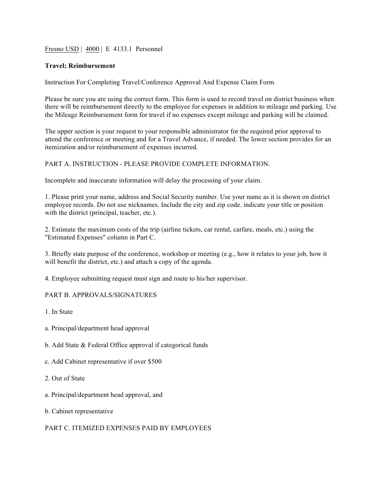Fresno USD | 4000 | E 4133.1 Personnel

### **Travel; Reimbursement**

Instruction For Completing Travel/Conference Approval And Expense Claim Form

Please be sure you are using the correct form. This form is used to record travel on district business when there will be reimbursement directly to the employee for expenses in addition to mileage and parking. Use the Mileage Reimbursement form for travel if no expenses except mileage and parking will be claimed.

The upper section is your request to your responsible administrator for the required prior approval to attend the conference or meeting and for a Travel Advance, if needed. The lower section provides for an itemization and/or reimbursement of expenses incurred.

### PART A. INSTRUCTION - PLEASE PROVIDE COMPLETE INFORMATION.

Incomplete and inaccurate information will delay the processing of your claim.

1. Please print your name, address and Social Security number. Use your name as it is shown on district employee records. Do not use nicknames. Include the city and zip code. indicate your title or position with the district (principal, teacher, etc.).

2. Estimate the maximum costs of the trip (airline tickets, car rental, carfare, meals, etc.) using the "Estimated Expenses" column in Part C.

3. Briefly state purpose of the conference, workshop or meeting (e.g., how it relates to your job, how it will benefit the district, etc.) and attach a copy of the agenda.

4. Employee submitting request must sign and route to his/her supervisor.

# PART B. APPROVALS/SIGNATURES

1. In State

- a. Principal/department head approval
- b. Add State & Federal Office approval if categorical funds
- c. Add Cabinet representative if over \$500
- 2. Out of State
- a. Principal/department head approval, and
- b. Cabinet representative

# PART C. ITEMIZED EXPENSES PAID BY EMPLOYEES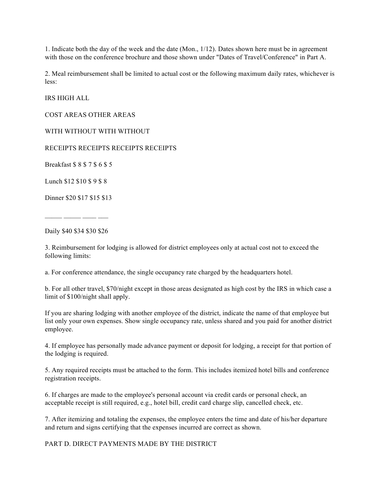1. Indicate both the day of the week and the date (Mon., 1/12). Dates shown here must be in agreement with those on the conference brochure and those shown under "Dates of Travel/Conference" in Part A.

2. Meal reimbursement shall be limited to actual cost or the following maximum daily rates, whichever is less:

IRS HIGH ALL

COST AREAS OTHER AREAS

WITH WITHOUT WITH WITHOUT

RECEIPTS RECEIPTS RECEIPTS RECEIPTS

Breakfast \$ 8 \$ 7 \$ 6 \$ 5

Lunch \$12 \$10 \$ 9 \$ 8

Dinner \$20 \$17 \$15 \$13

 $\mathcal{L}=\mathcal{L}^{\text{max}}$ 

Daily \$40 \$34 \$30 \$26

3. Reimbursement for lodging is allowed for district employees only at actual cost not to exceed the following limits:

a. For conference attendance, the single occupancy rate charged by the headquarters hotel.

b. For all other travel, \$70/night except in those areas designated as high cost by the IRS in which case a limit of \$100/night shall apply.

If you are sharing lodging with another employee of the district, indicate the name of that employee but list only your own expenses. Show single occupancy rate, unless shared and you paid for another district employee.

4. If employee has personally made advance payment or deposit for lodging, a receipt for that portion of the lodging is required.

5. Any required receipts must be attached to the form. This includes itemized hotel bills and conference registration receipts.

6. If charges are made to the employee's personal account via credit cards or personal check, an acceptable receipt is still required, e.g., hotel bill, credit card charge slip, cancelled check, etc.

7. After itemizing and totaling the expenses, the employee enters the time and date of his/her departure and return and signs certifying that the expenses incurred are correct as shown.

PART D. DIRECT PAYMENTS MADE BY THE DISTRICT